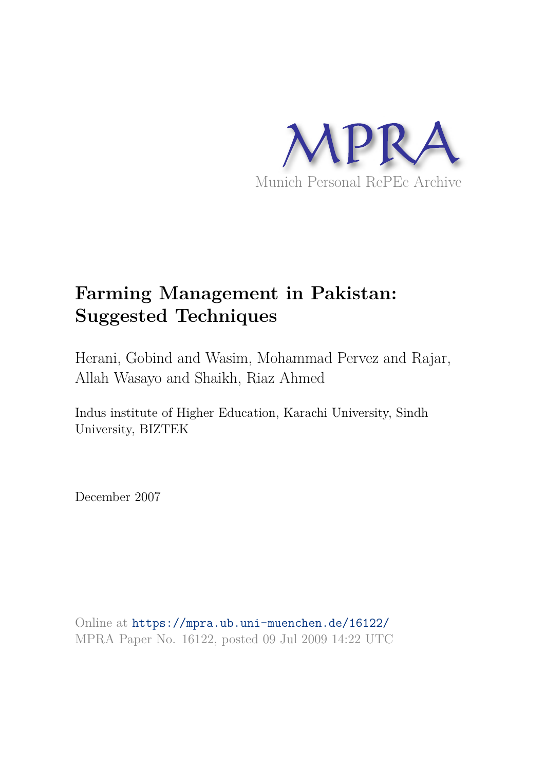

# **Farming Management in Pakistan: Suggested Techniques**

Herani, Gobind and Wasim, Mohammad Pervez and Rajar, Allah Wasayo and Shaikh, Riaz Ahmed

Indus institute of Higher Education, Karachi University, Sindh University, BIZTEK

December 2007

Online at https://mpra.ub.uni-muenchen.de/16122/ MPRA Paper No. 16122, posted 09 Jul 2009 14:22 UTC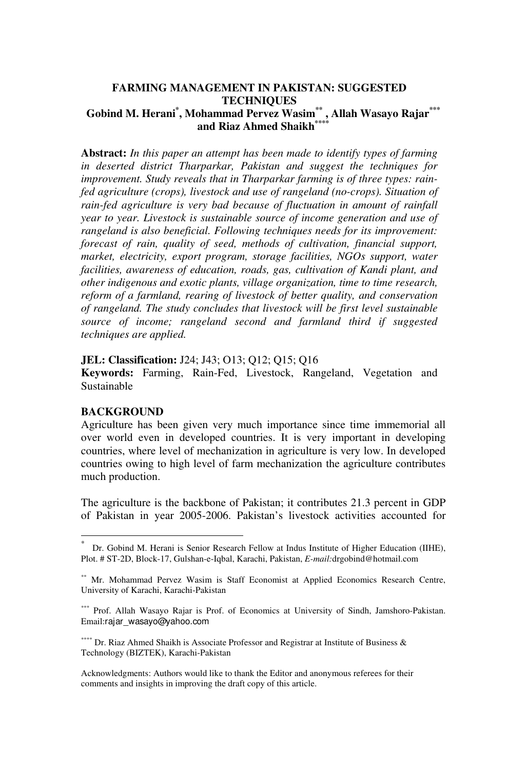# **FARMING MANAGEMENT IN PAKISTAN: SUGGESTED TECHNIQUES Gobind M. Herani\* , Mohammad Pervez Wasim\*\* , Allah Wasayo Rajar\*\*\*** and Riaz Ahmed Shaikh<sup>\*\*</sup>

**Abstract:** *In this paper an attempt has been made to identify types of farming in deserted district Tharparkar, Pakistan and suggest the techniques for improvement. Study reveals that in Tharparkar farming is of three types: rainfed agriculture (crops), livestock and use of rangeland (no-crops). Situation of rain-fed agriculture is very bad because of fluctuation in amount of rainfall year to year. Livestock is sustainable source of income generation and use of rangeland is also beneficial. Following techniques needs for its improvement: forecast of rain, quality of seed, methods of cultivation, financial support, market, electricity, export program, storage facilities, NGOs support, water facilities, awareness of education, roads, gas, cultivation of Kandi plant, and other indigenous and exotic plants, village organization, time to time research, reform of a farmland, rearing of livestock of better quality, and conservation of rangeland. The study concludes that livestock will be first level sustainable source of income; rangeland second and farmland third if suggested techniques are applied.* 

**JEL: Classification:** J24; J43; O13; Q12; Q15; Q16

**Keywords:** Farming, Rain-Fed, Livestock, Rangeland, Vegetation and Sustainable

# **BACKGROUND**

-

Agriculture has been given very much importance since time immemorial all over world even in developed countries. It is very important in developing countries, where level of mechanization in agriculture is very low. In developed countries owing to high level of farm mechanization the agriculture contributes much production.

The agriculture is the backbone of Pakistan; it contributes 21.3 percent in GDP of Pakistan in year 2005-2006. Pakistan's livestock activities accounted for

\*\*\*\* Dr. Riaz Ahmed Shaikh is Associate Professor and Registrar at Institute of Business  $\&$ Technology (BIZTEK), Karachi-Pakistan

Acknowledgments: Authors would like to thank the Editor and anonymous referees for their comments and insights in improving the draft copy of this article.

<sup>\*</sup> Dr. Gobind M. Herani is Senior Research Fellow at Indus Institute of Higher Education (IIHE), Plot. # ST-2D, Block-17, Gulshan-e-Iqbal, Karachi, Pakistan, *E-mail:*drgobind@hotmail.com

<sup>\*\*</sup> Mr. Mohammad Pervez Wasim is Staff Economist at Applied Economics Research Centre, University of Karachi, Karachi-Pakistan

<sup>\*\*\*</sup> Prof. Allah Wasayo Rajar is Prof. of Economics at University of Sindh, Jamshoro-Pakistan. Email:rajar\_wasayo@yahoo.com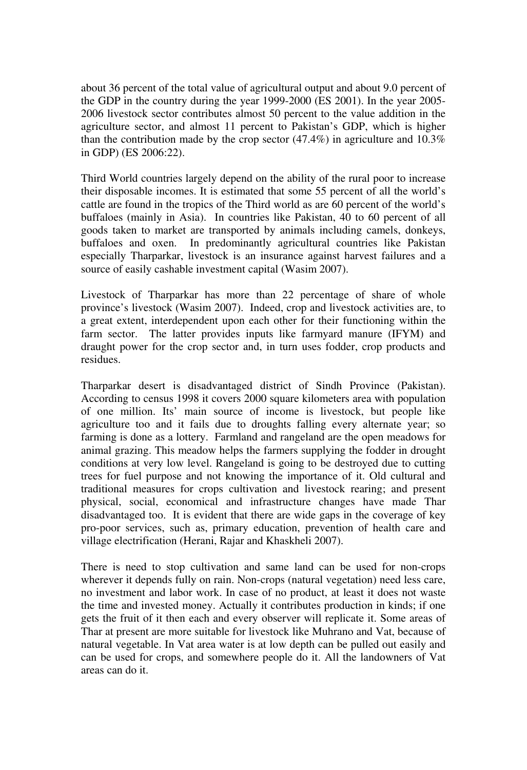about 36 percent of the total value of agricultural output and about 9.0 percent of the GDP in the country during the year 1999-2000 (ES 2001). In the year 2005- 2006 livestock sector contributes almost 50 percent to the value addition in the agriculture sector, and almost 11 percent to Pakistan's GDP, which is higher than the contribution made by the crop sector (47.4%) in agriculture and 10.3% in GDP) (ES 2006:22).

Third World countries largely depend on the ability of the rural poor to increase their disposable incomes. It is estimated that some 55 percent of all the world's cattle are found in the tropics of the Third world as are 60 percent of the world's buffaloes (mainly in Asia). In countries like Pakistan, 40 to 60 percent of all goods taken to market are transported by animals including camels, donkeys, buffaloes and oxen. In predominantly agricultural countries like Pakistan especially Tharparkar, livestock is an insurance against harvest failures and a source of easily cashable investment capital (Wasim 2007).

Livestock of Tharparkar has more than 22 percentage of share of whole province's livestock (Wasim 2007). Indeed, crop and livestock activities are, to a great extent, interdependent upon each other for their functioning within the farm sector. The latter provides inputs like farmyard manure (IFYM) and draught power for the crop sector and, in turn uses fodder, crop products and residues.

Tharparkar desert is disadvantaged district of Sindh Province (Pakistan). According to census 1998 it covers 2000 square kilometers area with population of one million. Its' main source of income is livestock, but people like agriculture too and it fails due to droughts falling every alternate year; so farming is done as a lottery. Farmland and rangeland are the open meadows for animal grazing. This meadow helps the farmers supplying the fodder in drought conditions at very low level. Rangeland is going to be destroyed due to cutting trees for fuel purpose and not knowing the importance of it. Old cultural and traditional measures for crops cultivation and livestock rearing; and present physical, social, economical and infrastructure changes have made Thar disadvantaged too. It is evident that there are wide gaps in the coverage of key pro-poor services, such as, primary education, prevention of health care and village electrification (Herani, Rajar and Khaskheli 2007).

There is need to stop cultivation and same land can be used for non-crops wherever it depends fully on rain. Non-crops (natural vegetation) need less care, no investment and labor work. In case of no product, at least it does not waste the time and invested money. Actually it contributes production in kinds; if one gets the fruit of it then each and every observer will replicate it. Some areas of Thar at present are more suitable for livestock like Muhrano and Vat, because of natural vegetable. In Vat area water is at low depth can be pulled out easily and can be used for crops, and somewhere people do it. All the landowners of Vat areas can do it.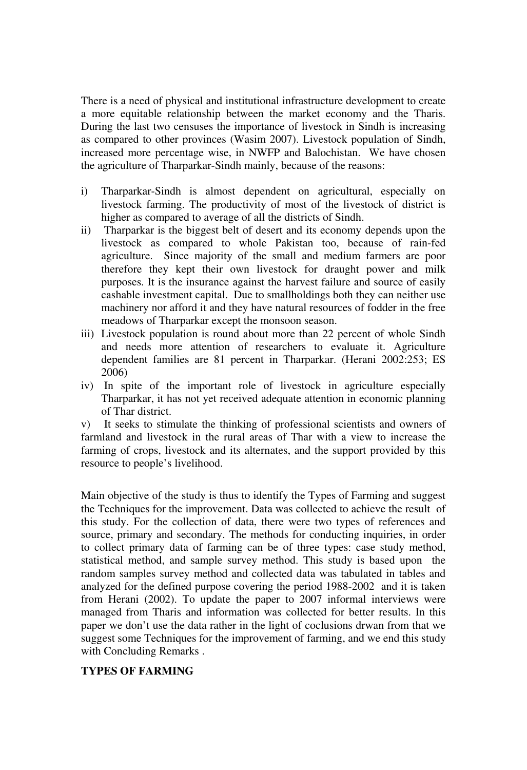There is a need of physical and institutional infrastructure development to create a more equitable relationship between the market economy and the Tharis. During the last two censuses the importance of livestock in Sindh is increasing as compared to other provinces (Wasim 2007). Livestock population of Sindh, increased more percentage wise, in NWFP and Balochistan. We have chosen the agriculture of Tharparkar-Sindh mainly, because of the reasons:

- i) Tharparkar-Sindh is almost dependent on agricultural, especially on livestock farming. The productivity of most of the livestock of district is higher as compared to average of all the districts of Sindh.
- ii) Tharparkar is the biggest belt of desert and its economy depends upon the livestock as compared to whole Pakistan too, because of rain-fed agriculture. Since majority of the small and medium farmers are poor therefore they kept their own livestock for draught power and milk purposes. It is the insurance against the harvest failure and source of easily cashable investment capital. Due to smallholdings both they can neither use machinery nor afford it and they have natural resources of fodder in the free meadows of Tharparkar except the monsoon season.
- iii) Livestock population is round about more than 22 percent of whole Sindh and needs more attention of researchers to evaluate it. Agriculture dependent families are 81 percent in Tharparkar. (Herani 2002:253; ES 2006)
- iv) In spite of the important role of livestock in agriculture especially Tharparkar, it has not yet received adequate attention in economic planning of Thar district.

v) It seeks to stimulate the thinking of professional scientists and owners of farmland and livestock in the rural areas of Thar with a view to increase the farming of crops, livestock and its alternates, and the support provided by this resource to people's livelihood.

Main objective of the study is thus to identify the Types of Farming and suggest the Techniques for the improvement. Data was collected to achieve the result of this study. For the collection of data, there were two types of references and source, primary and secondary. The methods for conducting inquiries, in order to collect primary data of farming can be of three types: case study method, statistical method, and sample survey method. This study is based upon the random samples survey method and collected data was tabulated in tables and analyzed for the defined purpose covering the period 1988-2002 and it is taken from Herani (2002). To update the paper to 2007 informal interviews were managed from Tharis and information was collected for better results. In this paper we don't use the data rather in the light of coclusions drwan from that we suggest some Techniques for the improvement of farming, and we end this study with Concluding Remarks .

# **TYPES OF FARMING**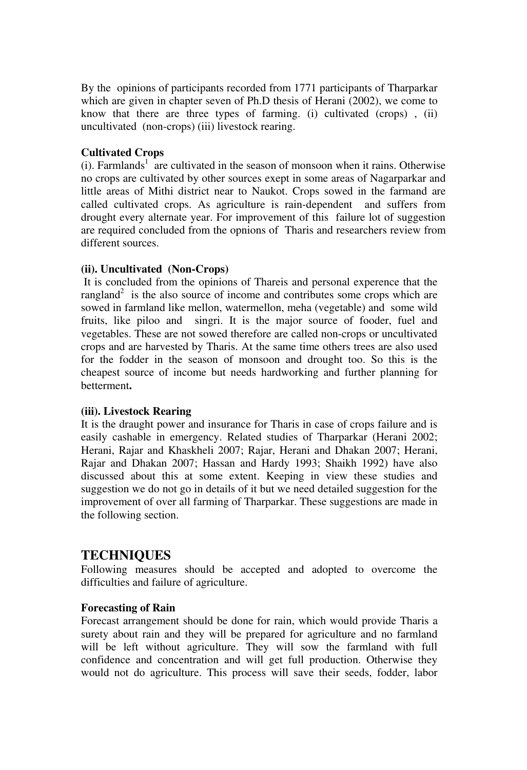By the opinions of participants recorded from 1771 participants of Tharparkar which are given in chapter seven of Ph.D thesis of Herani (2002), we come to know that there are three types of farming. (i) cultivated (crops) , (ii) uncultivated (non-crops) (iii) livestock rearing.

#### **Cultivated Crops**

 $(i)$ . Farmlands<sup>1</sup> are cultivated in the season of monsoon when it rains. Otherwise no crops are cultivated by other sources exept in some areas of Nagarparkar and little areas of Mithi district near to Naukot. Crops sowed in the farmand are called cultivated crops. As agriculture is rain-dependent and suffers from drought every alternate year. For improvement of this failure lot of suggestion are required concluded from the opnions of Tharis and researchers review from different sources.

# **(ii). Uncultivated (Non-Crops)**

It is concluded from the opinions of Thareis and personal experence that the rangland<sup>2</sup> is the also source of income and contributes some crops which are sowed in farmland like mellon, watermellon, meha (vegetable) and some wild fruits, like piloo and singri. It is the major source of fooder, fuel and vegetables. These are not sowed therefore are called non-crops or uncultivated crops and are harvested by Tharis. At the same time others trees are also used for the fodder in the season of monsoon and drought too. So this is the cheapest source of income but needs hardworking and further planning for betterment**.** 

#### **(iii). Livestock Rearing**

It is the draught power and insurance for Tharis in case of crops failure and is easily cashable in emergency. Related studies of Tharparkar (Herani 2002; Herani, Rajar and Khaskheli 2007; Rajar, Herani and Dhakan 2007; Herani, Rajar and Dhakan 2007; Hassan and Hardy 1993; Shaikh 1992) have also discussed about this at some extent. Keeping in view these studies and suggestion we do not go in details of it but we need detailed suggestion for the improvement of over all farming of Tharparkar. These suggestions are made in the following section.

# **TECHNIQUES**

Following measures should be accepted and adopted to overcome the difficulties and failure of agriculture.

#### **Forecasting of Rain**

Forecast arrangement should be done for rain, which would provide Tharis a surety about rain and they will be prepared for agriculture and no farmland will be left without agriculture. They will sow the farmland with full confidence and concentration and will get full production. Otherwise they would not do agriculture. This process will save their seeds, fodder, labor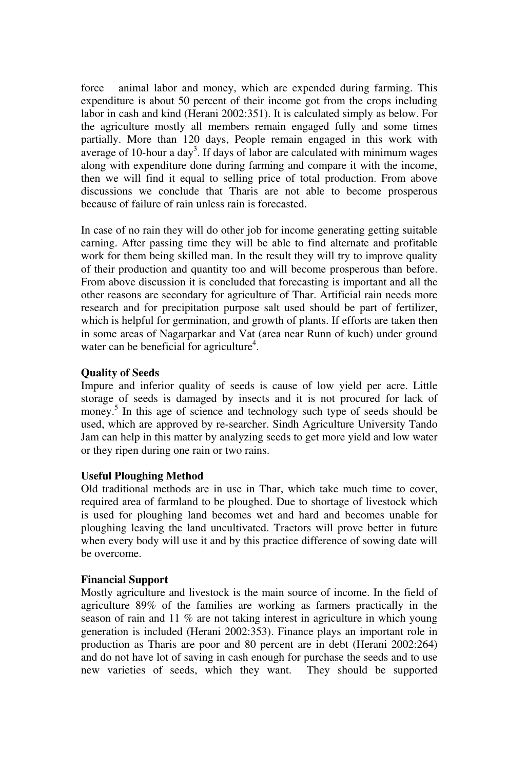force animal labor and money, which are expended during farming. This expenditure is about 50 percent of their income got from the crops including labor in cash and kind (Herani 2002:351). It is calculated simply as below. For the agriculture mostly all members remain engaged fully and some times partially. More than 120 days, People remain engaged in this work with average of 10-hour a day<sup>3</sup>. If days of labor are calculated with minimum wages along with expenditure done during farming and compare it with the income, then we will find it equal to selling price of total production. From above discussions we conclude that Tharis are not able to become prosperous because of failure of rain unless rain is forecasted.

In case of no rain they will do other job for income generating getting suitable earning. After passing time they will be able to find alternate and profitable work for them being skilled man. In the result they will try to improve quality of their production and quantity too and will become prosperous than before. From above discussion it is concluded that forecasting is important and all the other reasons are secondary for agriculture of Thar. Artificial rain needs more research and for precipitation purpose salt used should be part of fertilizer, which is helpful for germination, and growth of plants. If efforts are taken then in some areas of Nagarparkar and Vat (area near Runn of kuch) under ground water can be beneficial for agriculture<sup>4</sup>.

# **Quality of Seeds**

Impure and inferior quality of seeds is cause of low yield per acre. Little storage of seeds is damaged by insects and it is not procured for lack of money.<sup>5</sup> In this age of science and technology such type of seeds should be used, which are approved by re-searcher. Sindh Agriculture University Tando Jam can help in this matter by analyzing seeds to get more yield and low water or they ripen during one rain or two rains.

#### **Useful Ploughing Method**

Old traditional methods are in use in Thar, which take much time to cover, required area of farmland to be ploughed. Due to shortage of livestock which is used for ploughing land becomes wet and hard and becomes unable for ploughing leaving the land uncultivated. Tractors will prove better in future when every body will use it and by this practice difference of sowing date will be overcome.

#### **Financial Support**

Mostly agriculture and livestock is the main source of income. In the field of agriculture 89% of the families are working as farmers practically in the season of rain and 11 % are not taking interest in agriculture in which young generation is included (Herani 2002:353). Finance plays an important role in production as Tharis are poor and 80 percent are in debt (Herani 2002:264) and do not have lot of saving in cash enough for purchase the seeds and to use new varieties of seeds, which they want. They should be supported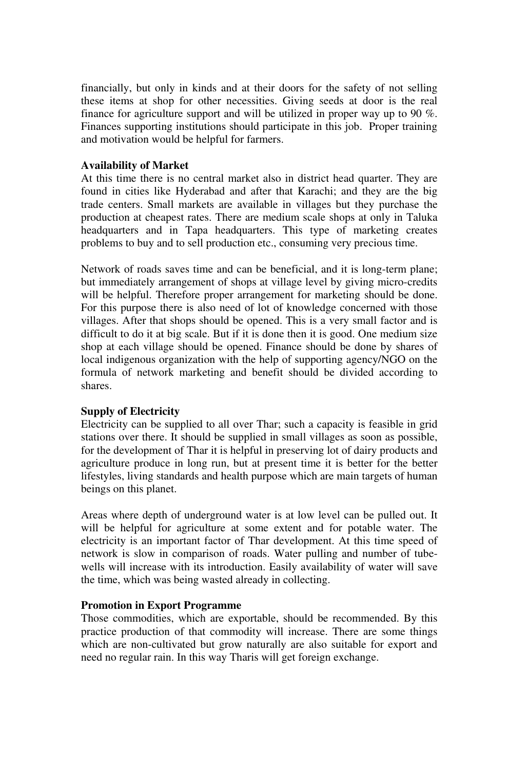financially, but only in kinds and at their doors for the safety of not selling these items at shop for other necessities. Giving seeds at door is the real finance for agriculture support and will be utilized in proper way up to 90 %. Finances supporting institutions should participate in this job. Proper training and motivation would be helpful for farmers.

#### **Availability of Market**

At this time there is no central market also in district head quarter. They are found in cities like Hyderabad and after that Karachi; and they are the big trade centers. Small markets are available in villages but they purchase the production at cheapest rates. There are medium scale shops at only in Taluka headquarters and in Tapa headquarters. This type of marketing creates problems to buy and to sell production etc., consuming very precious time.

Network of roads saves time and can be beneficial, and it is long-term plane; but immediately arrangement of shops at village level by giving micro-credits will be helpful. Therefore proper arrangement for marketing should be done. For this purpose there is also need of lot of knowledge concerned with those villages. After that shops should be opened. This is a very small factor and is difficult to do it at big scale. But if it is done then it is good. One medium size shop at each village should be opened. Finance should be done by shares of local indigenous organization with the help of supporting agency/NGO on the formula of network marketing and benefit should be divided according to shares.

#### **Supply of Electricity**

Electricity can be supplied to all over Thar; such a capacity is feasible in grid stations over there. It should be supplied in small villages as soon as possible, for the development of Thar it is helpful in preserving lot of dairy products and agriculture produce in long run, but at present time it is better for the better lifestyles, living standards and health purpose which are main targets of human beings on this planet.

Areas where depth of underground water is at low level can be pulled out. It will be helpful for agriculture at some extent and for potable water. The electricity is an important factor of Thar development. At this time speed of network is slow in comparison of roads. Water pulling and number of tubewells will increase with its introduction. Easily availability of water will save the time, which was being wasted already in collecting.

#### **Promotion in Export Programme**

Those commodities, which are exportable, should be recommended. By this practice production of that commodity will increase. There are some things which are non-cultivated but grow naturally are also suitable for export and need no regular rain. In this way Tharis will get foreign exchange.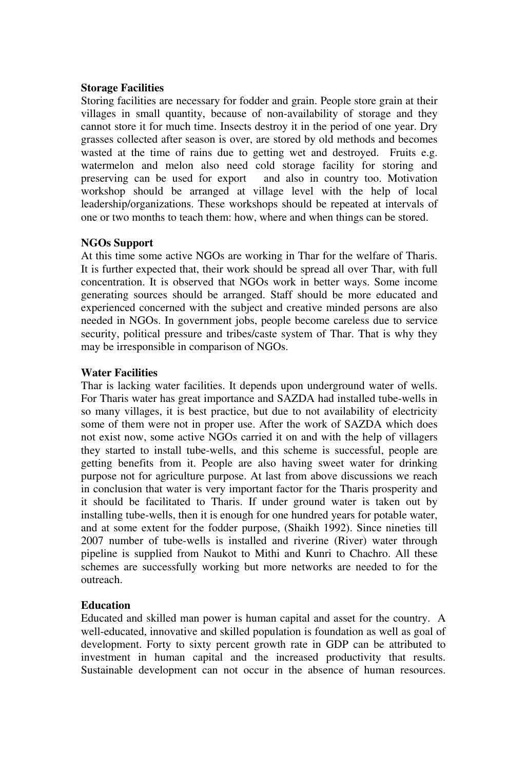#### **Storage Facilities**

Storing facilities are necessary for fodder and grain. People store grain at their villages in small quantity, because of non-availability of storage and they cannot store it for much time. Insects destroy it in the period of one year. Dry grasses collected after season is over, are stored by old methods and becomes wasted at the time of rains due to getting wet and destroyed. Fruits e.g. watermelon and melon also need cold storage facility for storing and preserving can be used for export and also in country too. Motivation workshop should be arranged at village level with the help of local leadership/organizations. These workshops should be repeated at intervals of one or two months to teach them: how, where and when things can be stored.

# **NGOs Support**

At this time some active NGOs are working in Thar for the welfare of Tharis. It is further expected that, their work should be spread all over Thar, with full concentration. It is observed that NGOs work in better ways. Some income generating sources should be arranged. Staff should be more educated and experienced concerned with the subject and creative minded persons are also needed in NGOs. In government jobs, people become careless due to service security, political pressure and tribes/caste system of Thar. That is why they may be irresponsible in comparison of NGOs.

#### **Water Facilities**

Thar is lacking water facilities. It depends upon underground water of wells. For Tharis water has great importance and SAZDA had installed tube-wells in so many villages, it is best practice, but due to not availability of electricity some of them were not in proper use. After the work of SAZDA which does not exist now, some active NGOs carried it on and with the help of villagers they started to install tube-wells, and this scheme is successful, people are getting benefits from it. People are also having sweet water for drinking purpose not for agriculture purpose. At last from above discussions we reach in conclusion that water is very important factor for the Tharis prosperity and it should be facilitated to Tharis. If under ground water is taken out by installing tube-wells, then it is enough for one hundred years for potable water, and at some extent for the fodder purpose, (Shaikh 1992). Since nineties till 2007 number of tube-wells is installed and riverine (River) water through pipeline is supplied from Naukot to Mithi and Kunri to Chachro. All these schemes are successfully working but more networks are needed to for the outreach.

#### **Education**

Educated and skilled man power is human capital and asset for the country. A well-educated, innovative and skilled population is foundation as well as goal of development. Forty to sixty percent growth rate in GDP can be attributed to investment in human capital and the increased productivity that results. Sustainable development can not occur in the absence of human resources.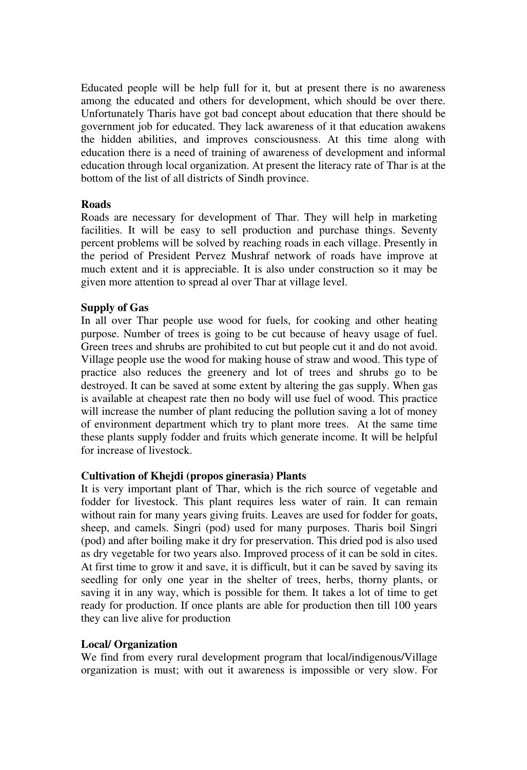Educated people will be help full for it, but at present there is no awareness among the educated and others for development, which should be over there. Unfortunately Tharis have got bad concept about education that there should be government job for educated. They lack awareness of it that education awakens the hidden abilities, and improves consciousness. At this time along with education there is a need of training of awareness of development and informal education through local organization. At present the literacy rate of Thar is at the bottom of the list of all districts of Sindh province.

#### **Roads**

Roads are necessary for development of Thar. They will help in marketing facilities. It will be easy to sell production and purchase things. Seventy percent problems will be solved by reaching roads in each village. Presently in the period of President Pervez Mushraf network of roads have improve at much extent and it is appreciable. It is also under construction so it may be given more attention to spread al over Thar at village level.

# **Supply of Gas**

In all over Thar people use wood for fuels, for cooking and other heating purpose. Number of trees is going to be cut because of heavy usage of fuel. Green trees and shrubs are prohibited to cut but people cut it and do not avoid. Village people use the wood for making house of straw and wood. This type of practice also reduces the greenery and lot of trees and shrubs go to be destroyed. It can be saved at some extent by altering the gas supply. When gas is available at cheapest rate then no body will use fuel of wood. This practice will increase the number of plant reducing the pollution saving a lot of money of environment department which try to plant more trees. At the same time these plants supply fodder and fruits which generate income. It will be helpful for increase of livestock.

#### **Cultivation of Khejdi (propos ginerasia) Plants**

It is very important plant of Thar, which is the rich source of vegetable and fodder for livestock. This plant requires less water of rain. It can remain without rain for many years giving fruits. Leaves are used for fodder for goats, sheep, and camels. Singri (pod) used for many purposes. Tharis boil Singri (pod) and after boiling make it dry for preservation. This dried pod is also used as dry vegetable for two years also. Improved process of it can be sold in cites. At first time to grow it and save, it is difficult, but it can be saved by saving its seedling for only one year in the shelter of trees, herbs, thorny plants, or saving it in any way, which is possible for them. It takes a lot of time to get ready for production. If once plants are able for production then till 100 years they can live alive for production

#### **Local/ Organization**

We find from every rural development program that local/indigenous/Village organization is must; with out it awareness is impossible or very slow. For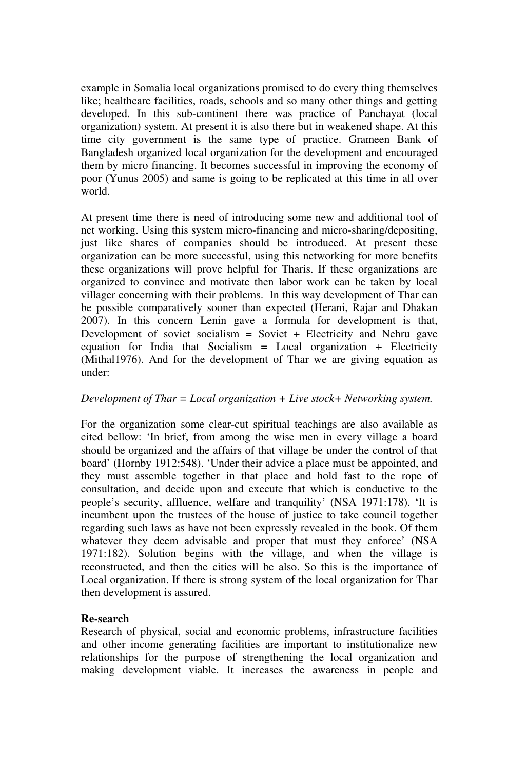example in Somalia local organizations promised to do every thing themselves like; healthcare facilities, roads, schools and so many other things and getting developed. In this sub-continent there was practice of Panchayat (local organization) system. At present it is also there but in weakened shape. At this time city government is the same type of practice. Grameen Bank of Bangladesh organized local organization for the development and encouraged them by micro financing. It becomes successful in improving the economy of poor (Yunus 2005) and same is going to be replicated at this time in all over world.

At present time there is need of introducing some new and additional tool of net working. Using this system micro-financing and micro-sharing/depositing, just like shares of companies should be introduced. At present these organization can be more successful, using this networking for more benefits these organizations will prove helpful for Tharis. If these organizations are organized to convince and motivate then labor work can be taken by local villager concerning with their problems. In this way development of Thar can be possible comparatively sooner than expected (Herani, Rajar and Dhakan 2007). In this concern Lenin gave a formula for development is that, Development of soviet socialism = Soviet + Electricity and Nehru gave equation for India that Socialism  $=$  Local organization  $+$  Electricity (Mithal1976). And for the development of Thar we are giving equation as under:

#### *Development of Thar = Local organization + Live stock+ Networking system.*

For the organization some clear-cut spiritual teachings are also available as cited bellow: 'In brief, from among the wise men in every village a board should be organized and the affairs of that village be under the control of that board' (Hornby 1912:548). 'Under their advice a place must be appointed, and they must assemble together in that place and hold fast to the rope of consultation, and decide upon and execute that which is conductive to the people's security, affluence, welfare and tranquility' (NSA 1971:178). 'It is incumbent upon the trustees of the house of justice to take council together regarding such laws as have not been expressly revealed in the book. Of them whatever they deem advisable and proper that must they enforce' (NSA 1971:182). Solution begins with the village, and when the village is reconstructed, and then the cities will be also. So this is the importance of Local organization. If there is strong system of the local organization for Thar then development is assured.

#### **Re-search**

Research of physical, social and economic problems, infrastructure facilities and other income generating facilities are important to institutionalize new relationships for the purpose of strengthening the local organization and making development viable. It increases the awareness in people and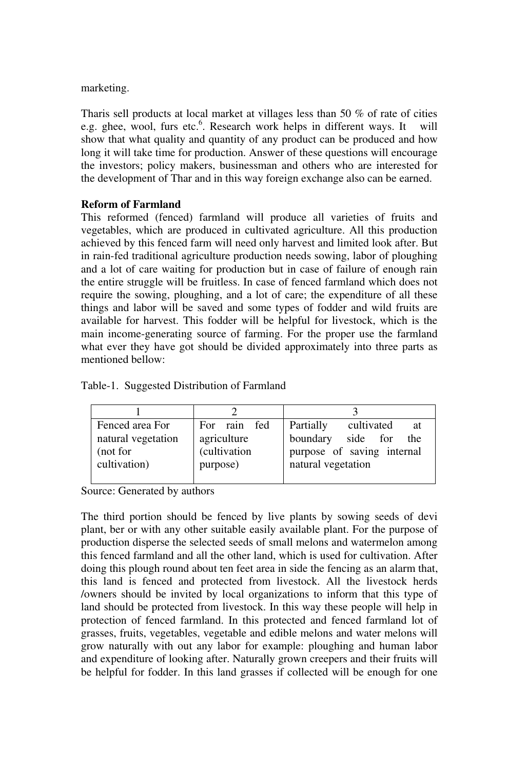marketing.

Tharis sell products at local market at villages less than 50 % of rate of cities e.g. ghee, wool, furs etc.<sup>6</sup>. Research work helps in different ways. It will show that what quality and quantity of any product can be produced and how long it will take time for production. Answer of these questions will encourage the investors; policy makers, businessman and others who are interested for the development of Thar and in this way foreign exchange also can be earned.

# **Reform of Farmland**

This reformed (fenced) farmland will produce all varieties of fruits and vegetables, which are produced in cultivated agriculture. All this production achieved by this fenced farm will need only harvest and limited look after. But in rain-fed traditional agriculture production needs sowing, labor of ploughing and a lot of care waiting for production but in case of failure of enough rain the entire struggle will be fruitless. In case of fenced farmland which does not require the sowing, ploughing, and a lot of care; the expenditure of all these things and labor will be saved and some types of fodder and wild fruits are available for harvest. This fodder will be helpful for livestock, which is the main income-generating source of farming. For the proper use the farmland what ever they have got should be divided approximately into three parts as mentioned bellow:

| Fenced area For<br>natural vegetation | For rain fed<br>agriculture | Partially<br>cultivated<br>at<br>boundary<br>side for<br>the |
|---------------------------------------|-----------------------------|--------------------------------------------------------------|
| (not for                              | (cultivation                | purpose of saving internal                                   |
| cultivation)                          | purpose)                    | natural vegetation                                           |

Table-1. Suggested Distribution of Farmland

Source: Generated by authors

The third portion should be fenced by live plants by sowing seeds of devi plant, ber or with any other suitable easily available plant. For the purpose of production disperse the selected seeds of small melons and watermelon among this fenced farmland and all the other land, which is used for cultivation. After doing this plough round about ten feet area in side the fencing as an alarm that, this land is fenced and protected from livestock. All the livestock herds /owners should be invited by local organizations to inform that this type of land should be protected from livestock. In this way these people will help in protection of fenced farmland. In this protected and fenced farmland lot of grasses, fruits, vegetables, vegetable and edible melons and water melons will grow naturally with out any labor for example: ploughing and human labor and expenditure of looking after. Naturally grown creepers and their fruits will be helpful for fodder. In this land grasses if collected will be enough for one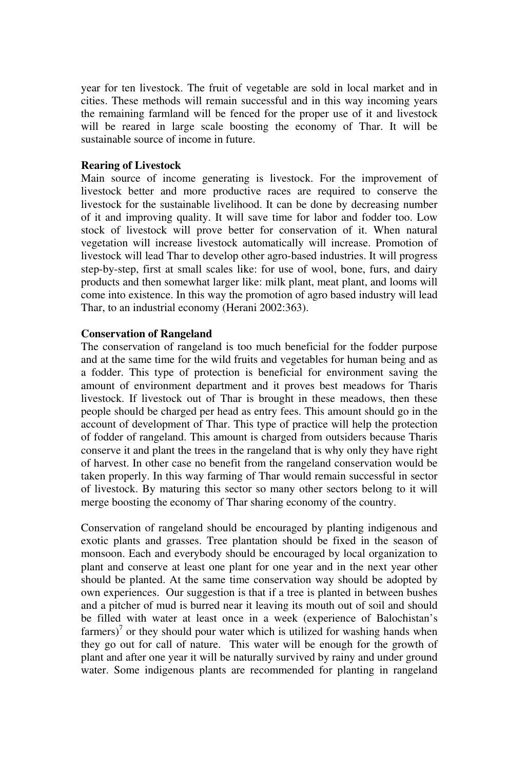year for ten livestock. The fruit of vegetable are sold in local market and in cities. These methods will remain successful and in this way incoming years the remaining farmland will be fenced for the proper use of it and livestock will be reared in large scale boosting the economy of Thar. It will be sustainable source of income in future.

#### **Rearing of Livestock**

Main source of income generating is livestock. For the improvement of livestock better and more productive races are required to conserve the livestock for the sustainable livelihood. It can be done by decreasing number of it and improving quality. It will save time for labor and fodder too. Low stock of livestock will prove better for conservation of it. When natural vegetation will increase livestock automatically will increase. Promotion of livestock will lead Thar to develop other agro-based industries. It will progress step-by-step, first at small scales like: for use of wool, bone, furs, and dairy products and then somewhat larger like: milk plant, meat plant, and looms will come into existence. In this way the promotion of agro based industry will lead Thar, to an industrial economy (Herani 2002:363).

#### **Conservation of Rangeland**

The conservation of rangeland is too much beneficial for the fodder purpose and at the same time for the wild fruits and vegetables for human being and as a fodder. This type of protection is beneficial for environment saving the amount of environment department and it proves best meadows for Tharis livestock. If livestock out of Thar is brought in these meadows, then these people should be charged per head as entry fees. This amount should go in the account of development of Thar. This type of practice will help the protection of fodder of rangeland. This amount is charged from outsiders because Tharis conserve it and plant the trees in the rangeland that is why only they have right of harvest. In other case no benefit from the rangeland conservation would be taken properly. In this way farming of Thar would remain successful in sector of livestock. By maturing this sector so many other sectors belong to it will merge boosting the economy of Thar sharing economy of the country.

Conservation of rangeland should be encouraged by planting indigenous and exotic plants and grasses. Tree plantation should be fixed in the season of monsoon. Each and everybody should be encouraged by local organization to plant and conserve at least one plant for one year and in the next year other should be planted. At the same time conservation way should be adopted by own experiences. Our suggestion is that if a tree is planted in between bushes and a pitcher of mud is burred near it leaving its mouth out of soil and should be filled with water at least once in a week (experience of Balochistan's farmers)<sup>7</sup> or they should pour water which is utilized for washing hands when they go out for call of nature. This water will be enough for the growth of plant and after one year it will be naturally survived by rainy and under ground water. Some indigenous plants are recommended for planting in rangeland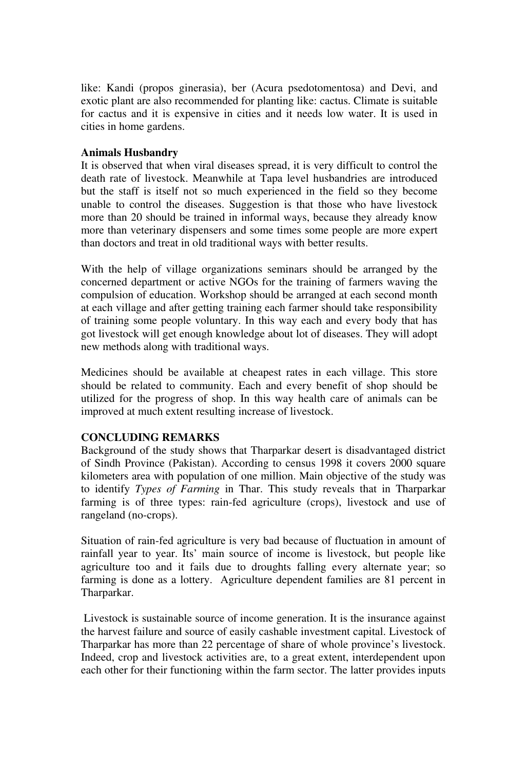like: Kandi (propos ginerasia), ber (Acura psedotomentosa) and Devi, and exotic plant are also recommended for planting like: cactus. Climate is suitable for cactus and it is expensive in cities and it needs low water. It is used in cities in home gardens.

#### **Animals Husbandry**

It is observed that when viral diseases spread, it is very difficult to control the death rate of livestock. Meanwhile at Tapa level husbandries are introduced but the staff is itself not so much experienced in the field so they become unable to control the diseases. Suggestion is that those who have livestock more than 20 should be trained in informal ways, because they already know more than veterinary dispensers and some times some people are more expert than doctors and treat in old traditional ways with better results.

With the help of village organizations seminars should be arranged by the concerned department or active NGOs for the training of farmers waving the compulsion of education. Workshop should be arranged at each second month at each village and after getting training each farmer should take responsibility of training some people voluntary. In this way each and every body that has got livestock will get enough knowledge about lot of diseases. They will adopt new methods along with traditional ways.

Medicines should be available at cheapest rates in each village. This store should be related to community. Each and every benefit of shop should be utilized for the progress of shop. In this way health care of animals can be improved at much extent resulting increase of livestock.

#### **CONCLUDING REMARKS**

Background of the study shows that Tharparkar desert is disadvantaged district of Sindh Province (Pakistan). According to census 1998 it covers 2000 square kilometers area with population of one million. Main objective of the study was to identify *Types of Farming* in Thar. This study reveals that in Tharparkar farming is of three types: rain-fed agriculture (crops), livestock and use of rangeland (no-crops).

Situation of rain-fed agriculture is very bad because of fluctuation in amount of rainfall year to year. Its' main source of income is livestock, but people like agriculture too and it fails due to droughts falling every alternate year; so farming is done as a lottery. Agriculture dependent families are 81 percent in Tharparkar.

 Livestock is sustainable source of income generation. It is the insurance against the harvest failure and source of easily cashable investment capital. Livestock of Tharparkar has more than 22 percentage of share of whole province's livestock. Indeed, crop and livestock activities are, to a great extent, interdependent upon each other for their functioning within the farm sector. The latter provides inputs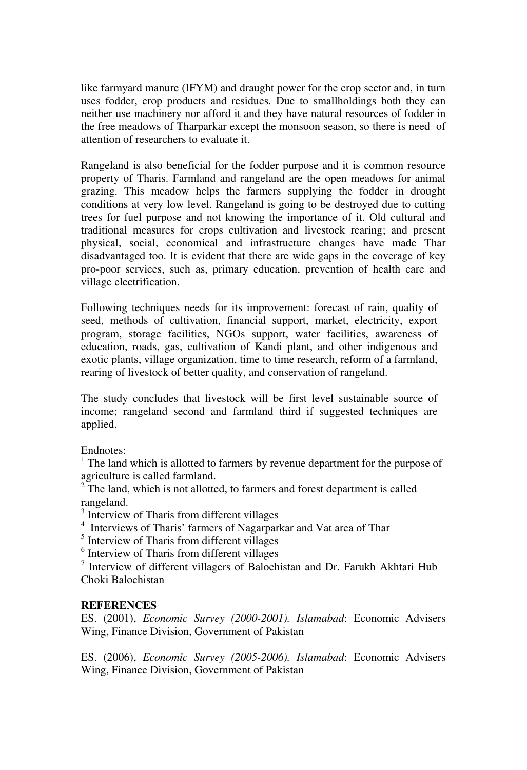like farmyard manure (IFYM) and draught power for the crop sector and, in turn uses fodder, crop products and residues. Due to smallholdings both they can neither use machinery nor afford it and they have natural resources of fodder in the free meadows of Tharparkar except the monsoon season, so there is need of attention of researchers to evaluate it.

Rangeland is also beneficial for the fodder purpose and it is common resource property of Tharis. Farmland and rangeland are the open meadows for animal grazing. This meadow helps the farmers supplying the fodder in drought conditions at very low level. Rangeland is going to be destroyed due to cutting trees for fuel purpose and not knowing the importance of it. Old cultural and traditional measures for crops cultivation and livestock rearing; and present physical, social, economical and infrastructure changes have made Thar disadvantaged too. It is evident that there are wide gaps in the coverage of key pro-poor services, such as, primary education, prevention of health care and village electrification.

Following techniques needs for its improvement: forecast of rain, quality of seed, methods of cultivation, financial support, market, electricity, export program, storage facilities, NGOs support, water facilities, awareness of education, roads, gas, cultivation of Kandi plant, and other indigenous and exotic plants, village organization, time to time research, reform of a farmland, rearing of livestock of better quality, and conservation of rangeland.

The study concludes that livestock will be first level sustainable source of income; rangeland second and farmland third if suggested techniques are applied.

-

#### **REFERENCES**

ES. (2001), *Economic Survey (2000-2001). Islamabad*: Economic Advisers Wing, Finance Division, Government of Pakistan

ES. (2006), *Economic Survey (2005-2006). Islamabad*: Economic Advisers Wing, Finance Division, Government of Pakistan

Endnotes:

<sup>&</sup>lt;sup>1</sup> The land which is allotted to farmers by revenue department for the purpose of agriculture is called farmland.

 $2^{2}$  The land, which is not allotted, to farmers and forest department is called rangeland.

<sup>&</sup>lt;sup>3</sup> Interview of Tharis from different villages

<sup>4</sup> Interviews of Tharis' farmers of Nagarparkar and Vat area of Thar

<sup>&</sup>lt;sup>5</sup> Interview of Tharis from different villages

<sup>&</sup>lt;sup>6</sup> Interview of Tharis from different villages

<sup>&</sup>lt;sup>7</sup> Interview of different villagers of Balochistan and Dr. Farukh Akhtari Hub Choki Balochistan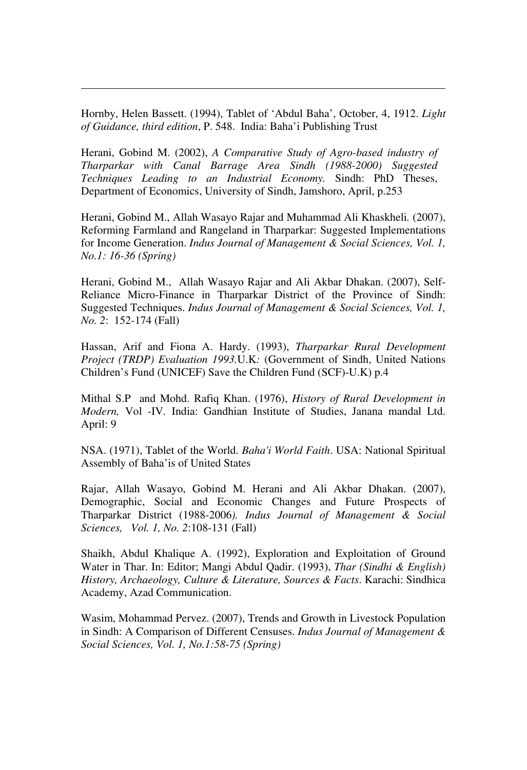Hornby, Helen Bassett. (1994), Tablet of 'Abdul Baha', October, 4, 1912. *Light of Guidance, third edition*, P. 548.India: Baha'i Publishing Trust

 $\overline{a}$ 

Herani, Gobind M. (2002), *A Comparative Study of Agro-based industry of Tharparkar with Canal Barrage Area Sindh (1988-2000) Suggested Techniques Leading to an Industrial Economy.* Sindh: PhD Theses, Department of Economics, University of Sindh, Jamshoro, April, p.253

Herani, Gobind M., Allah Wasayo Rajar and Muhammad Ali Khaskheli*.* (2007), Reforming Farmland and Rangeland in Tharparkar: Suggested Implementations for Income Generation. *Indus Journal of Management & Social Sciences, Vol. 1, No.1: 16-36 (Spring)* 

Herani, Gobind M., Allah Wasayo Rajar and Ali Akbar Dhakan. (2007), Self-Reliance Micro-Finance in Tharparkar District of the Province of Sindh: Suggested Techniques. *Indus Journal of Management & Social Sciences, Vol. 1, No. 2*: 152-174 (Fall)

Hassan, Arif and Fiona A. Hardy. (1993), *Tharparkar Rural Development Project (TRDP) Evaluation 1993.*U.K*:* (Government of Sindh, United Nations Children's Fund (UNICEF) Save the Children Fund (SCF)-U.K) p.4

Mithal S.P and Mohd. Rafiq Khan. (1976), *History of Rural Development in Modern,* Vol -IV*.* India: Gandhian Institute of Studies, Janana mandal Ltd. April: 9

NSA. (1971), Tablet of the World. *Baha'i World Faith*. USA: National Spiritual Assembly of Baha'is of United States

Rajar, Allah Wasayo, Gobind M. Herani and Ali Akbar Dhakan. (2007), Demographic, Social and Economic Changes and Future Prospects of Tharparkar District (1988-2006*). Indus Journal of Management & Social Sciences, Vol. 1, No. 2*:108-131 (Fall)

Shaikh, Abdul Khalique A. (1992), Exploration and Exploitation of Ground Water in Thar. In: Editor; Mangi Abdul Qadir. (1993), *Thar (Sindhi & English) History, Archaeology, Culture & Literature, Sources & Facts*. Karachi: Sindhica Academy, Azad Communication.

Wasim, Mohammad Pervez. (2007), Trends and Growth in Livestock Population in Sindh: A Comparison of Different Censuses. *Indus Journal of Management & Social Sciences, Vol. 1, No.1:58-75 (Spring)*